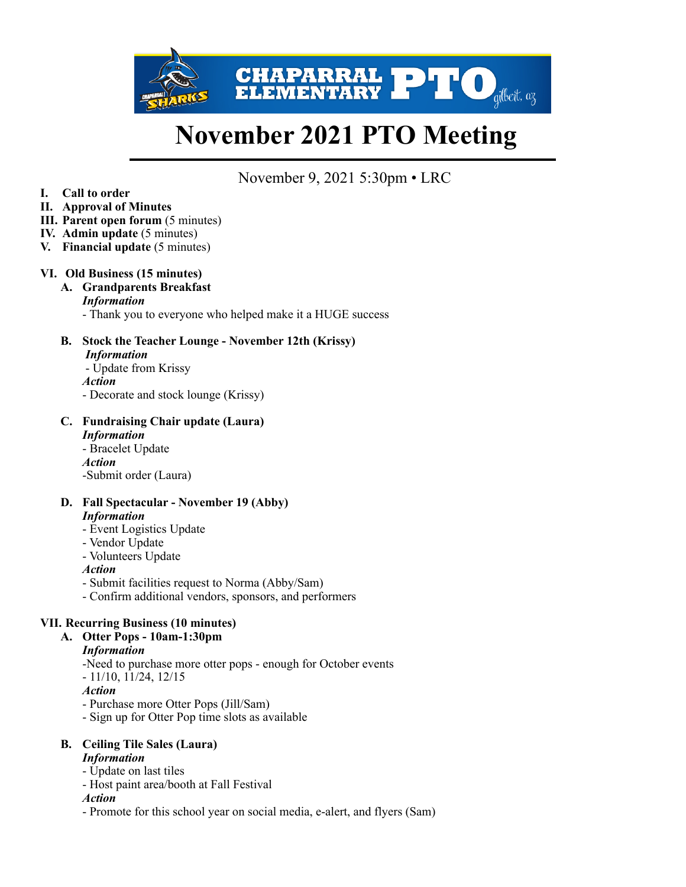

# **November 2021 PTO Meeting**

November 9, 2021 5:30pm • LRC

- **I. Call to order**
- **II. Approval of Minutes**
- **III.** Parent open forum  $(5 \text{ minutes})$
- **IV. Admin update** (5 minutes)
- **V. Financial update** (5 minutes)

#### **VI. Old Business (15 minutes)**

# **A. Grandparents Breakfast**

#### *Information*

- Thank you to everyone who helped make it a HUGE success

**B. Stock the Teacher Lounge - November 12th (Krissy)** *Information*  - Update from Krissy *Action* 

- Decorate and stock lounge (Krissy)

#### **C. Fundraising Chair update (Laura)**  *Information*

- Bracelet Update *Action*  -Submit order (Laura)

#### **D. Fall Spectacular - November 19 (Abby)**  *Information*

- Event Logistics Update
- Vendor Update
- Volunteers Update

#### *Action*

- Submit facilities request to Norma (Abby/Sam)
- Confirm additional vendors, sponsors, and performers

#### **VII. Recurring Business (10 minutes)**

**A. Otter Pops - 10am-1:30pm** 

#### *Information*

-Need to purchase more otter pops - enough for October events

- 11/10, 11/24, 12/15

*Action* 

- Purchase more Otter Pops (Jill/Sam)

- Sign up for Otter Pop time slots as available

# **B. Ceiling Tile Sales (Laura)**

# *Information*

- Update on last tiles
- Host paint area/booth at Fall Festival

#### *Action*

- Promote for this school year on social media, e-alert, and flyers (Sam)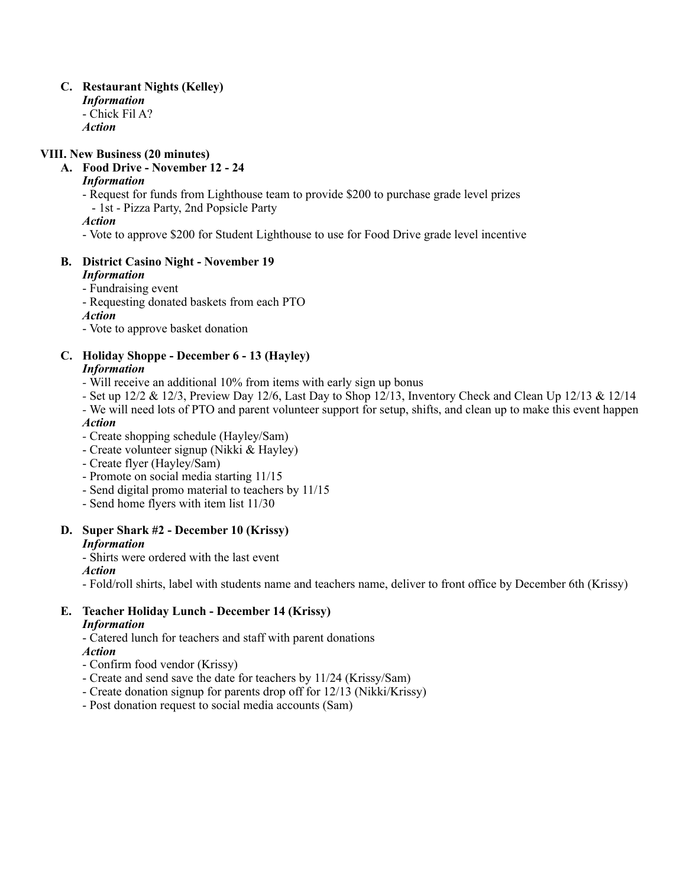#### **C. Restaurant Nights (Kelley)**  *Information*  - Chick Fil A? *Action*

#### **VIII. New Business (20 minutes)**

**A. Food Drive - November 12 - 24** 

#### *Information*

- Request for funds from Lighthouse team to provide \$200 to purchase grade level prizes - 1st - Pizza Party, 2nd Popsicle Party

*Action* 

- Vote to approve \$200 for Student Lighthouse to use for Food Drive grade level incentive

#### **B. District Casino Night - November 19**

#### *Information*

- Fundraising event

- Requesting donated baskets from each PTO

*Action* 

- Vote to approve basket donation

#### **C. Holiday Shoppe - December 6 - 13 (Hayley)**

#### *Information*

- Will receive an additional 10% from items with early sign up bonus
- Set up 12/2 & 12/3, Preview Day 12/6, Last Day to Shop 12/13, Inventory Check and Clean Up 12/13 & 12/14

*-* We will need lots of PTO and parent volunteer support for setup, shifts, and clean up to make this event happen *Action* 

- Create shopping schedule (Hayley/Sam)
- Create volunteer signup (Nikki & Hayley)
- Create flyer (Hayley/Sam)
- Promote on social media starting 11/15
- Send digital promo material to teachers by 11/15
- Send home flyers with item list 11/30

# **D. Super Shark #2 - December 10 (Krissy)**

*Information* 

- Shirts were ordered with the last event

*Action* 

- Fold/roll shirts, label with students name and teachers name, deliver to front office by December 6th (Krissy)

# **E. Teacher Holiday Lunch - December 14 (Krissy)**

### *Information*

- Catered lunch for teachers and staff with parent donations

*Action* 

- Confirm food vendor (Krissy)
- Create and send save the date for teachers by 11/24 (Krissy/Sam)
- Create donation signup for parents drop off for 12/13 (Nikki/Krissy)
- Post donation request to social media accounts (Sam)